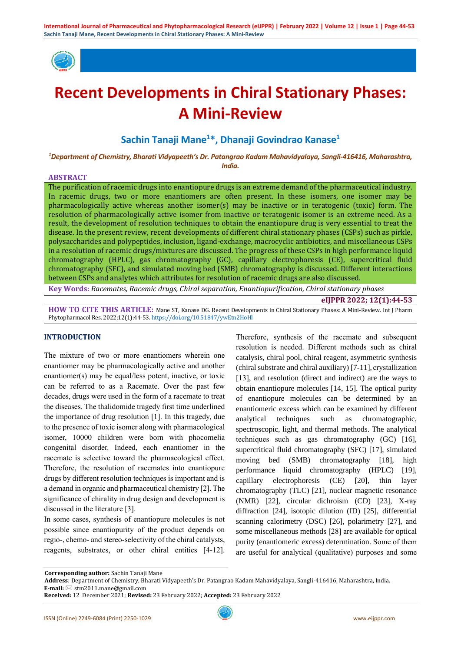

# **Recent Developments in Chiral Stationary Phases: A Mini-Review**

## **Sachin Tanaji Mane<sup>1</sup>\*, Dhanaji Govindrao Kanase<sup>1</sup>**

*<sup>1</sup>Department of Chemistry, Bharati Vidyapeeth's Dr. Patangrao Kadam Mahavidyalaya, Sangli-416416, Maharashtra, India.*

#### **ABSTRACT**

The purification of racemic drugs into enantiopure drugs is an extreme demand of the pharmaceutical industry. In racemic drugs, two or more enantiomers are often present. In these isomers, one isomer may be pharmacologically active whereas another isomer(s) may be inactive or in teratogenic (toxic) form. The resolution of pharmacologically active isomer from inactive or teratogenic isomer is an extreme need. As a result, the development of resolution techniques to obtain the enantiopure drug is very essential to treat the disease. In the present review, recent developments of different chiral stationary phases (CSPs) such as pirkle, polysaccharides and polypeptides, inclusion, ligand-exchange, macrocyclic antibiotics, and miscellaneous CSPs in a resolution of racemic drugs/mixtures are discussed. The progress of these CSPs in high performance liquid chromatography (HPLC), gas chromatography (GC), capillary electrophoresis (CE), supercritical fluid chromatography (SFC), and simulated moving bed (SMB) chromatography is discussed. Different interactions between CSPs and analytes which attributes for resolution of racemic drugs are also discussed.

**Key Words:** *Racemates, Racemic drugs, Chiral separation, Enantiopurification, Chiral stationary phases*

**eIJPPR 2022; 12(1):44-53**

**HOW TO CITE THIS ARTICLE:** Mane ST, Kanase DG. Recent Developments in Chiral Stationary Phases: A Mini-Review. Int J Pharm Phytopharmacol Res. 2022;12(1):44-53. <https://doi.org/10.51847/ywEtn2HoHl>

## **INTRODUCTION**

The mixture of two or more enantiomers wherein one enantiomer may be pharmacologically active and another enantiomer(s) may be equal/less potent, inactive, or toxic can be referred to as a Racemate. Over the past few decades, drugs were used in the form of a racemate to treat the diseases. The thalidomide tragedy first time underlined the importance of drug resolution [1]. In this tragedy, due to the presence of toxic isomer along with pharmacological isomer, 10000 children were born with phocomelia congenital disorder. Indeed, each enantiomer in the racemate is selective toward the pharmacological effect. Therefore, the resolution of racemates into enantiopure drugs by different resolution techniques is important and is a demand in organic and pharmaceutical chemistry [2]. The significance of chirality in drug design and development is discussed in the literature [3].

In some cases, synthesis of enantiopure molecules is not possible since enantiopurity of the product depends on regio-, chemo- and stereo-selectivity of the chiral catalysts, reagents, substrates, or other chiral entities [4-12]. Therefore, synthesis of the racemate and subsequent resolution is needed. Different methods such as chiral catalysis, chiral pool, chiral reagent, asymmetric synthesis (chiral substrate and chiral auxiliary) [7-11], crystallization [13], and resolution (direct and indirect) are the ways to obtain enantiopure molecules [14, 15]. The optical purity of enantiopure molecules can be determined by an enantiomeric excess which can be examined by different analytical techniques such as chromatographic, spectroscopic, light, and thermal methods. The analytical techniques such as gas chromatography (GC) [16], supercritical fluid chromatography (SFC) [17], simulated moving bed (SMB) chromatography [18], high performance liquid chromatography (HPLC) [19], capillary electrophoresis (CE) [20], thin layer chromatography (TLC) [21], nuclear magnetic resonance (NMR) [22], circular dichroism (CD) [23], X-ray diffraction [24], isotopic dilution (ID) [25], differential scanning calorimetry (DSC) [26], polarimetry [27], and some miscellaneous methods [28] are available for optical purity (enantiomeric excess) determination. Some of them are useful for analytical (qualitative) purposes and some

**Corresponding author:** Sachin Tanaji Mane

**Address**: Department of Chemistry, Bharati Vidyapeeth's Dr. Patangrao Kadam Mahavidyalaya, Sangli-416416, Maharashtra, India.

**E-mail:** ⊠ stm2011.mane@gmail.com

**Received:** 12 December 2021; **Revised:** 23 February 2022; **Accepted:** 23 February 2022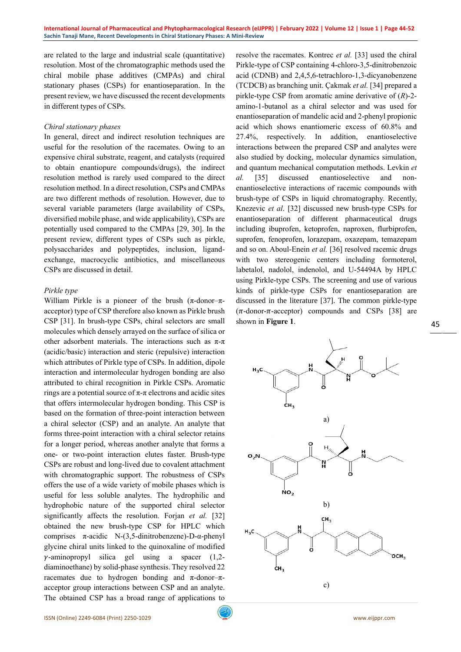are related to the large and industrial scale (quantitative) resolution. Most of the chromatographic methods used the chiral mobile phase additives (CMPAs) and chiral stationary phases (CSPs) for enantioseparation. In the present review, we have discussed the recent developments in different types of CSPs.

#### *Chiral stationary phases*

In general, direct and indirect resolution techniques are useful for the resolution of the racemates. Owing to an expensive chiral substrate, reagent, and catalysts (required to obtain enantiopure compounds/drugs), the indirect resolution method is rarely used compared to the direct resolution method. In a direct resolution, CSPs and CMPAs are two different methods of resolution. However, due to several variable parameters (large availability of CSPs, diversified mobile phase, and wide applicability), CSPs are potentially used compared to the CMPAs [29, 30]. In the present review, different types of CSPs such as pirkle, polysaccharides and polypeptides, inclusion, ligandexchange, macrocyclic antibiotics, and miscellaneous CSPs are discussed in detail.

#### *Pirkle type*

William Pirkle is a pioneer of the brush  $(π$ -donor- $π$ acceptor) type of CSP therefore also known as Pirkle brush CSP [31]. In brush-type CSPs, chiral selectors are small molecules which densely arrayed on the surface of silica or other adsorbent materials. The interactions such as  $\pi$ - $\pi$ (acidic/basic) interaction and steric (repulsive) interaction which attributes of Pirkle type of CSPs. In addition, dipole interaction and intermolecular hydrogen bonding are also attributed to chiral recognition in Pirkle CSPs. Aromatic rings are a potential source of π-π electrons and acidic sites that offers intermolecular hydrogen bonding. This CSP is based on the formation of three-point interaction between a chiral selector (CSP) and an analyte. An analyte that forms three-point interaction with a chiral selector retains for a longer period, whereas another analyte that forms a one- or two-point interaction elutes faster. Brush-type CSPs are robust and long-lived due to covalent attachment with chromatographic support. The robustness of CSPs offers the use of a wide variety of mobile phases which is useful for less soluble analytes. The hydrophilic and hydrophobic nature of the supported chiral selector significantly affects the resolution. Forjan *et al.* [32] obtained the new brush-type CSP for HPLC which comprises π-acidic N-(3,5-dinitrobenzene)-D-α-phenyl glycine chiral units linked to the quinoxaline of modified  $\gamma$ -aminopropyl silica gel using a spacer (1,2diaminoethane) by solid-phase synthesis. They resolved 22 racemates due to hydrogen bonding and π-donor–πacceptor group interactions between CSP and an analyte. The obtained CSP has a broad range of applications to

resolve the racemates. Kontrec *et al.* [33] used the chiral Pirkle-type of CSP containing 4-chloro-3,5-dinitrobenzoic acid (CDNB) and 2,4,5,6-tetrachloro-1,3-dicyanobenzene (TCDCB) as branching unit. Çakmak *et al.* [34] prepared a pirkle-type CSP from aromatic amine derivative of (*R*)-2 amino-1-butanol as a chiral selector and was used for enantioseparation of mandelic acid and 2-phenyl propionic acid which shows enantiomeric excess of 60.8% and 27.4%, respectively. In addition, enantioselective interactions between the prepared CSP and analytes were also studied by docking, molecular dynamics simulation, and quantum mechanical computation methods. Levkin *et al.* [35] discussed enantioselective and nonenantioselective interactions of racemic compounds with brush-type of CSPs in liquid chromatography. Recently, Knezevic *et al*. [32] discussed new brush-type CSPs for enantioseparation of different pharmaceutical drugs including ibuprofen, ketoprofen, naproxen, flurbiprofen, suprofen, fenoprofen, lorazepam, oxazepam, temazepam and so on[. Aboul-Enein](https://www.tandfonline.com/author/Aboul-Enein%2C+Hassan+Y) *et al.* [36] resolved racemic drugs with two stereogenic centers including formoterol, labetalol, nadolol, indenolol, and U-54494A by HPLC using Pirkle-type CSPs. The screening and use of various kinds of pirkle-type CSPs for enantioseparation are discussed in the literature [37]. The common pirkle-type  $(\pi$ -donor- $\pi$ -acceptor) compounds and CSPs [38] are shown in **Figure 1**.

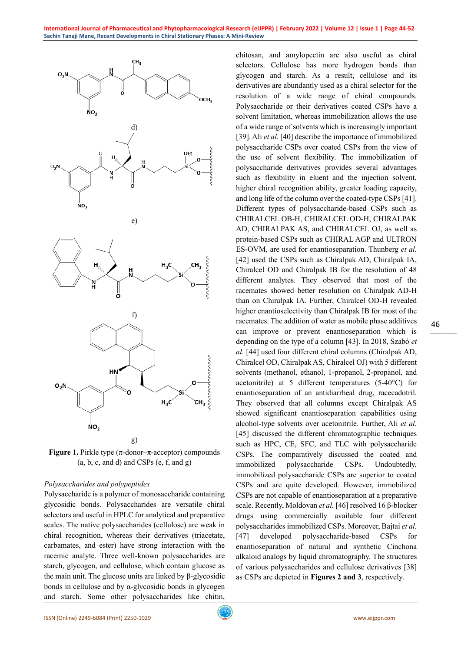

**Figure 1.** Pirkle type (π-donor–π-acceptor) compounds  $(a, b, c, and d)$  and CSPs  $(e, f, and g)$ 

## *Polysaccharides and polypeptides*

Polysaccharide is a polymer of monosaccharide containing glycosidic bonds. Polysaccharides are versatile chiral selectors and useful in HPLC for analytical and preparative scales. The native polysaccharides (cellulose) are weak in chiral recognition, whereas their derivatives (triacetate, carbamates, and ester) have strong interaction with the racemic analyte. Three well-known polysaccharides are starch, glycogen, and cellulose, which contain glucose as the main unit. The glucose units are linked by β-glycosidic bonds in cellulose and by  $\alpha$ -glycosidic bonds in glycogen and starch. Some other polysaccharides like chitin,

chitosan, and amylopectin are also useful as chiral selectors. Cellulose has more hydrogen bonds than glycogen and starch. As a result, cellulose and its derivatives are abundantly used as a chiral selector for the resolution of a wide range of chiral compounds. Polysaccharide or their derivatives coated CSPs have a solvent limitation, whereas immobilization allows the use of a wide range of solvents which is increasingly important [39]. Ali *et al.* [40] describe the importance of immobilized polysaccharide CSPs over coated CSPs from the view of the use of solvent flexibility. The immobilization of polysaccharide derivatives provides several advantages such as flexibility in eluent and the injection solvent, higher chiral recognition ability, greater loading capacity, and long life of the column over the coated-type CSPs [41]. Different types of polysaccharide-based CSPs such as CHIRALCEL OB-H, CHIRALCEL OD-H, CHIRALPAK AD, CHIRALPAK AS, and CHIRALCEL OJ, as well as protein-based CSPs such as CHIRAL AGP and ULTRON ES-OVM, are used for enantioseparation. Thunberg *et al.* [42] used the CSPs such as Chiralpak AD, Chiralpak IA, Chiralcel OD and Chiralpak IB for the resolution of 48 different analytes. They observed that most of the racemates showed better resolution on Chiralpak AD-H than on Chiralpak IA. Further, Chiralcel OD-H revealed higher enantioselectivity than Chiralpak IB for most of the racemates. The addition of water as mobile phase additives can improve or prevent enantioseparation which is depending on the type of a column [43]. In 2018, Szabó *et al.* [44] used four different chiral columns (Chiralpak AD, Chiralcel OD, Chiralpak AS, Chiralcel OJ) with 5 different solvents (methanol, ethanol, 1-propanol, 2-propanol, and acetonitrile) at 5 different temperatures (5-40°C) for enantioseparation of an antidiarrheal drug, racecadotril. They observed that all columns except Chiralpak AS showed significant enantioseparation capabilities using alcohol-type solvents over acetonitrile. Further, Ali *et al.* [45] discussed the different chromatographic techniques such as HPC, CE, SFC, and TLC with polysaccharide CSPs. The comparatively discussed the coated and immobilized polysaccharide CSPs. Undoubtedly, immobilized polysaccharide CSPs are superior to coated CSPs and are quite developed. However, immobilized CSPs are not capable of enantioseparation at a preparative scale. Recently, Moldovan *et al.* [46] resolved 16 β-blocker drugs using commercially available four different polysaccharides immobilized CSPs. Moreover, Bajtai *et al.* [47] developed polysaccharide-based CSPs for enantioseparation of natural and synthetic Cinchona alkaloid analogs by liquid chromatography. The structures of various polysaccharides and cellulose derivatives [38] as CSPs are depicted in **Figures 2 and 3**, respectively.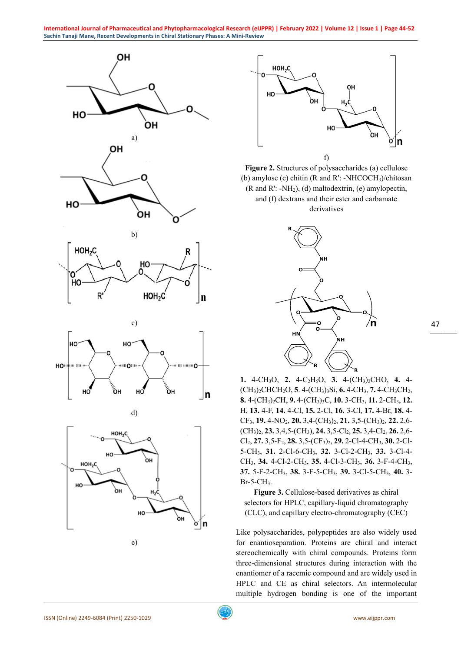



**Figure 2.** Structures of polysaccharides (a) cellulose (b) amylose (c) chitin (R and R': -NHCOCH3)/chitosan (R and R':  $-NH_2$ ), (d) maltodextrin, (e) amylopectin, and (f) dextrans and their ester and carbamate derivatives



**1.** 4-CH3O, **2.** 4-C2H5O, **3.** 4-(CH3)2CHO, **4.** 4- (CH3)2CHCH2O, **5**. 4-(CH3)3Si, **6.** 4-CH3, **7.** 4-CH3CH2, **8.** 4-(CH3)2CH, **9.** 4-(CH3)3C, **10.** 3-CH3, **11.** 2-CH3, **12.** H, **13.** 4-F, **14.** 4-Cl, **15.** 2-Cl, **16.** 3-Cl, **17.** 4-Br, **18.** 4- CF3, **19.** 4-NO2, **20.** 3,4-(CH3)2, **21.** 3,5-(CH3)2, **22.** 2,6- (CH3)2, **23.** 3,4,5-(CH3), **24.** 3,5-Cl2, **25.** 3,4-Cl2, **26.** 2,6- Cl2, **27.** 3,5-F2, **28.** 3,5-(CF3)2, **29.** 2-Cl-4-CH3, **30.** 2-Cl-5-CH3, **31.** 2-Cl-6-CH3, **32.** 3-Cl-2-CH3, **33.** 3-Cl-4- CH3, **34.** 4-Cl-2-CH3, **35.** 4-Cl-3-CH3, **36.** 3-F-4-CH3, **37.** 5-F-2-CH3, **38.** 3-F-5-CH3, **39.** 3-Cl-5-CH3, **40.** 3-  $Br-5-CH<sub>3</sub>$ .

**Figure 3.** Cellulose-based derivatives as chiral selectors for HPLC, capillary-liquid chromatography (CLC), and capillary electro-chromatography (CEC)

Like polysaccharides, polypeptides are also widely used for enantioseparation. Proteins are chiral and interact stereochemically with chiral compounds. Proteins form three-dimensional structures during interaction with the enantiomer of a racemic compound and are widely used in HPLC and CE as chiral selectors. An intermolecular multiple hydrogen bonding is one of the important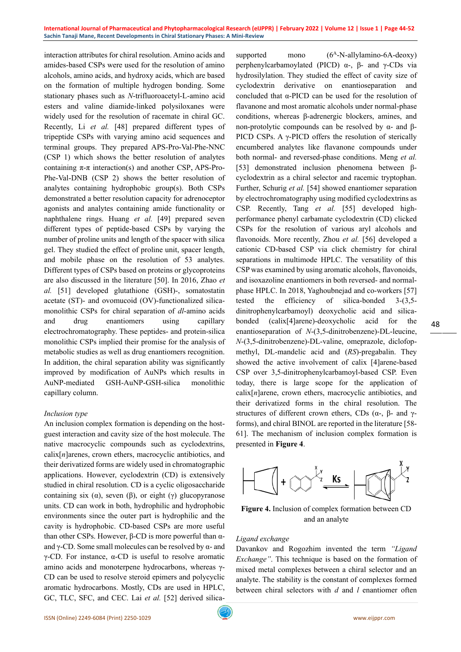interaction attributes for chiral resolution. Amino acids and amides-based CSPs were used for the resolution of amino alcohols, amino acids, and hydroxy acids, which are based on the formation of multiple hydrogen bonding. Some stationary phases such as *N*-trifluoroacetyl-L-amino acid esters and valine diamide-linked polysiloxanes were widely used for the resolution of racemate in chiral GC. Recently, Li *et al.* [48] prepared different types of tripeptide CSPs with varying amino acid sequences and terminal groups. They prepared APS-Pro-Val-Phe-NNC (CSP 1) which shows the better resolution of analytes containing π-π interaction(s) and another CSP, APS-Pro-Phe-Val-DNB (CSP 2) shows the better resolution of analytes containing hydrophobic group(s). Both CSPs demonstrated a better resolution capacity for adrenoceptor agonists and analytes containing amide functionality or naphthalene rings. Huang *et al.* [49] prepared seven different types of peptide-based CSPs by varying the number of proline units and length of the spacer with silica gel. They studied the effect of proline unit, spacer length, and mobile phase on the resolution of 53 analytes. Different types of CSPs based on proteins or glycoproteins are also discussed in the literature [50]. In 2016, Zhao *et al.* [51] developed glutathione (GSH)-, somatostatin acetate (ST)- and ovomucoid (OV)-functionalized silicamonolithic CSPs for chiral separation of *dl*-amino acids and drug enantiomers using capillary electrochromatography. These peptides- and protein-silica monolithic CSPs implied their promise for the analysis of metabolic studies as well as drug enantiomers recognition. In addition, the chiral separation ability was significantly improved by modification of AuNPs which results in AuNP-mediated GSH-AuNP-GSH-silica monolithic capillary column.

#### *Inclusion type*

An inclusion complex formation is depending on the hostguest interaction and cavity size of the host molecule. The native macrocyclic compounds such as cyclodextrins, calix[*n*]arenes, crown ethers, macrocyclic antibiotics, and their derivatized forms are widely used in chromatographic applications. However, cyclodextrin (CD) is extensively studied in chiral resolution. CD is a cyclic oligosaccharide containing six (α), seven (β), or eight (γ) glucopyranose units. CD can work in both, hydrophilic and hydrophobic environments since the outer part is hydrophilic and the cavity is hydrophobic. CD-based CSPs are more useful than other CSPs. However,  $β$ -CD is more powerful than αand  $\gamma$ -CD. Some small molecules can be resolved by  $\alpha$ - and γ-CD. For instance, α-CD is useful to resolve aromatic amino acids and monoterpene hydrocarbons, whereas γ-CD can be used to resolve steroid epimers and polycyclic aromatic hydrocarbons. Mostly, CDs are used in HPLC, GC, TLC, SFC, and CEC. Lai et al. [52] derived silica-

supported mono  $(6<sup>A</sup>-N-ally)$ lamino-6A-deoxy perphenylcarbamoylated (PICD) α-, β- and γ-CDs via hydrosilylation. They studied the effect of cavity size of cyclodextrin derivative on enantioseparation and concluded that α-PICD can be used for the resolution of flavanone and most aromatic alcohols under normal-phase conditions, whereas β-adrenergic blockers, amines, and non-protolytic compounds can be resolved by α- and β-PICD CSPs. A γ-PICD offers the resolution of sterically encumbered analytes like flavanone compounds under both normal- and reversed-phase conditions. Meng *et al.* [53] demonstrated inclusion phenomena between βcyclodextrin as a chiral selector and racemic tryptophan. Further, Schurig *et al.* [54] showed enantiomer separation by electrochromatography using modified cyclodextrins as CSP. Recently, Tang *et al.* [55] developed highperformance phenyl carbamate cyclodextrin (CD) clicked CSPs for the resolution of various aryl alcohols and flavonoids. More recently, Zhou *et al.* [56] developed a cationic CD-based CSP via click chemistry for chiral separations in multimode HPLC. The versatility of this CSP was examined by using aromatic alcohols, flavonoids, and isoxazoline enantiomers in both reversed- and normalphase HPLC. In 2018, Yaghoubnejad and co-workers [57] tested the efficiency of silica-bonded 3-(3,5 dinitrophenylcarbamoyl) deoxycholic acid and silicabonded (calix[4]arene)-deoxycholic acid for the enantioseparation of *N*-(3,5-dinitrobenzene)-DL-leucine, *N*-(3,5-dinitrobenzene)-DL-valine, omeprazole, diclofopmethyl, DL-mandelic acid and (*RS*)-pregabalin. They showed the active involvement of calix [4]arene-based CSP over 3,5-dinitrophenylcarbamoyl-based CSP. Even today, there is large scope for the application of calix[*n*]arene, crown ethers, macrocyclic antibiotics, and their derivatized forms in the chiral resolution. The structures of different crown ethers, CDs ( $\alpha$ -,  $\beta$ - and  $\gamma$ forms), and chiral BINOL are reported in the literature [58- 61]. The mechanism of inclusion complex formation is presented in **Figure 4**.



**Figure 4.** Inclusion of complex formation between CD and an analyte

## *Ligand exchange*

Davankov and Rogozhim invented the term *"Ligand Exchange"*. This technique is based on the formation of mixed metal complexes between a chiral selector and an analyte. The stability is the constant of complexes formed between chiral selectors with *d* and *l* enantiomer often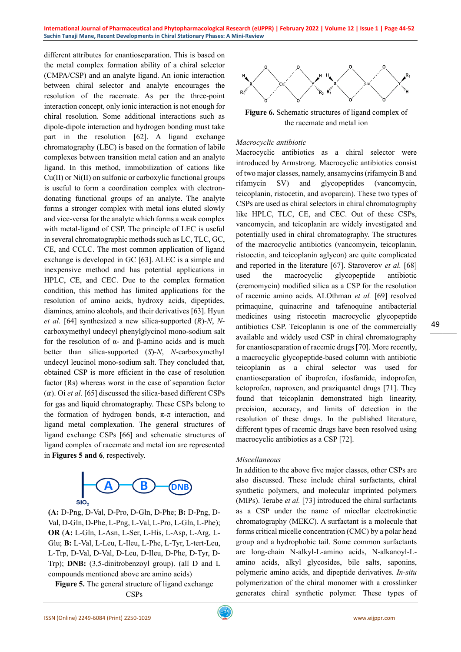different attributes for enantioseparation. This is based on the metal complex formation ability of a chiral selector (CMPA/CSP) and an analyte ligand. An ionic interaction between chiral selector and analyte encourages the resolution of the racemate. As per the three-point interaction concept, only ionic interaction is not enough for chiral resolution. Some additional interactions such as dipole-dipole interaction and hydrogen bonding must take part in the resolution [62]. A ligand exchange chromatography (LEC) is based on the formation of labile complexes between transition metal cation and an analyte ligand. In this method, immobilization of cations like Cu(II) or Ni(II) on sulfonic or carboxylic functional groups is useful to form a coordination complex with electrondonating functional groups of an analyte. The analyte forms a stronger complex with metal ions eluted slowly and vice-versa for the analyte which forms a weak complex with metal-ligand of CSP. The principle of LEC is useful in several chromatographic methods such as LC, TLC, GC, CE, and CCLC. The most common application of ligand exchange is developed in GC [63]. ALEC is a simple and inexpensive method and has potential applications in HPLC, CE, and CEC. Due to the complex formation condition, this method has limited applications for the resolution of amino acids, hydroxy acids, dipeptides, diamines, amino alcohols, and their derivatives [63]. Hyun *et al.* [64] synthesized a new silica-supported (*R*)-*N*, *N*carboxymethyl undecyl phenylglycinol mono-sodium salt for the resolution of α- and β-amino acids and is much better than silica-supported (*S*)-*N*, *N*-carboxymethyl undecyl leucinol mono-sodium salt. They concluded that, obtained CSP is more efficient in the case of resolution factor (Rs) whereas worst in the case of separation factor  $(\alpha)$ . Oi *et al*. [65] discussed the silica-based different CSPs for gas and liquid chromatography. These CSPs belong to the formation of hydrogen bonds,  $\pi$ - $\pi$  interaction, and ligand metal complexation. The general structures of ligand exchange CSPs [66] and schematic structures of ligand complex of racemate and metal ion are represented in **Figures 5 and 6**, respectively.



**(A:** D-Png, D-Val, D-Pro, D-Gln, D-Phe; **B:** D-Png, D-Val, D-Gln, D-Phe, L-Png, L-Val, L-Pro, L-Gln, L-Phe); **OR** (**A:** L-Gln, L-Asn, L-Ser, L-His, L-Asp, L-Arg, L-Glu; **B:** L-Val, L-Leu, L-Ileu, L-Phe, L-Tyr, L-tert-Leu, L-Trp, D-Val, D-Val, D-Leu, D-Ileu, D-Phe, D-Tyr, D-Trp); **DNB:** (3,5-dinitrobenzoyl group). (all D and L compounds mentioned above are amino acids)

**Figure 5.** The general structure of ligand exchange CSPs



**Figure 6.** Schematic structures of ligand complex of the racemate and metal ion

## *Macrocyclic antibiotic*

Macrocyclic antibiotics as a chiral selector were introduced by Armstrong. Macrocyclic antibiotics consist of two major classes, namely, ansamycins (rifamycin B and rifamycin SV) and glycopeptides (vancomycin, teicoplanin, ristocetin, and avoparcin). These two types of CSPs are used as chiral selectors in chiral chromatography like HPLC, TLC, CE, and CEC. Out of these CSPs, vancomycin, and teicoplanin are widely investigated and potentially used in chiral chromatography. The structures of the macrocyclic antibiotics (vancomycin, teicoplanin, ristocetin, and teicoplanin aglycon) are quite complicated and reported in the literature [67]. Staroverov *et al.* [68] used the macrocyclic glycopeptide antibiotic (eremomycin) modified silica as a CSP for the resolution of racemic amino acids. ALOthman *et al.* [69] resolved primaquine, quinacrine and tafenoquine antibacterial medicines using ristocetin macrocyclic glycopeptide antibiotics CSP. Teicoplanin is one of the commercially available and widely used CSP in chiral chromatography for enantioseparation of racemic drugs [70]. More recently, a macrocyclic glycopeptide-based column with antibiotic teicoplanin as a chiral selector was used for enantioseparation of ibuprofen, ifosfamide, indoprofen, ketoprofen, naproxen, and praziquantel drugs [71]. They found that teicoplanin demonstrated high linearity, precision, accuracy, and limits of detection in the resolution of these drugs. In the published literature, different types of racemic drugs have been resolved using macrocyclic antibiotics as a CSP [72].

#### *Miscellaneous*

In addition to the above five major classes, other CSPs are also discussed. These include chiral surfactants, chiral synthetic polymers, and molecular imprinted polymers (MIPs). Terabe *et al.* [73] introduced the chiral surfactants as a CSP under the name of micellar electrokinetic chromatography (MEKC). A surfactant is a molecule that forms critical micelle concentration (CMC) by a polar head group and a hydrophobic tail. Some common surfactants are long-chain N-alkyl-L-amino acids, N-alkanoyl-Lamino acids, alkyl glycosides, bile salts, saponins, polymeric amino acids, and dipeptide derivatives. *In-situ* polymerization of the chiral monomer with a crosslinker generates chiral synthetic polymer. These types of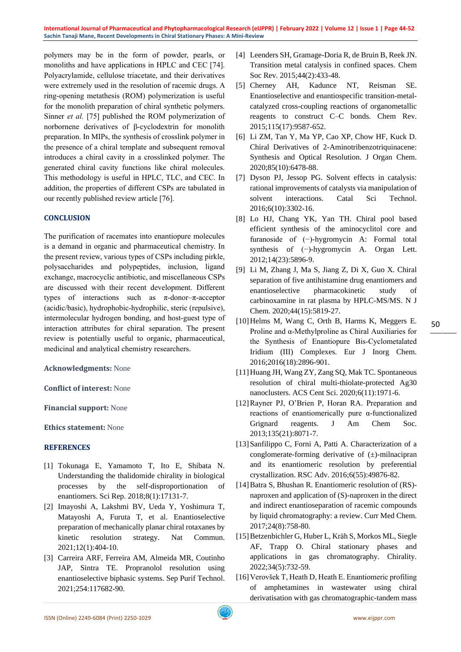polymers may be in the form of powder, pearls, or monoliths and have applications in HPLC and CEC [74]. Polyacrylamide, cellulose triacetate, and their derivatives were extremely used in the resolution of racemic drugs. A ring-opening metathesis (ROM) polymerization is useful for the monolith preparation of chiral synthetic polymers. Sinner *et al.* [75] published the ROM polymerization of norbornene derivatives of β-cyclodextrin for monolith preparation. In MIPs, the synthesis of crosslink polymer in the presence of a chiral template and subsequent removal introduces a chiral cavity in a crosslinked polymer. The generated chiral cavity functions like chiral molecules. This methodology is useful in HPLC, TLC, and CEC. In addition, the properties of different CSPs are tabulated in our recently published review article [76].

## **CONCLUSION**

The purification of racemates into enantiopure molecules is a demand in organic and pharmaceutical chemistry. In the present review, various types of CSPs including pirkle, polysaccharides and polypeptides, inclusion, ligand exchange, macrocyclic antibiotic, and miscellaneous CSPs are discussed with their recent development. Different types of interactions such as π-donor–π-acceptor (acidic/basic), hydrophobic-hydrophilic, steric (repulsive), intermolecular hydrogen bonding, and host-guest type of interaction attributes for chiral separation. The present review is potentially useful to organic, pharmaceutical, medicinal and analytical chemistry researchers.

**Acknowledgments:** None

**Conflict of interest:** None

**Financial support:** None

**Ethics statement:** None

#### **REFERENCES**

- [1] Tokunaga E, Yamamoto T, Ito E, Shibata N. Understanding the thalidomide chirality in biological processes by the self-disproportionation of enantiomers. Sci Rep. 2018;8(1):17131-7.
- [2] Imayoshi A, Lakshmi BV, Ueda Y, Yoshimura T, Matayoshi A, Furuta T, et al. Enantioselective preparation of mechanically planar chiral rotaxanes by kinetic resolution strategy. Nat Commun. 2021;12(1):404-10.
- [3] Carreira ARF, Ferreira AM, Almeida MR, Coutinho JAP, Sintra TE. Propranolol resolution using enantioselective biphasic systems. Sep Purif Technol. 2021;254:117682-90.
- [4] Leenders SH, Gramage-Doria R, de Bruin B, Reek JN. Transition metal catalysis in confined spaces. Chem Soc Rev. 2015;44(2):433-48.
- [5] Cherney AH, Kadunce NT, Reisman SE. Enantioselective and enantiospecific transition-metalcatalyzed cross-coupling reactions of organometallic reagents to construct C–C bonds. Chem Rev. 2015;115(17):9587-652.
- [6] Li ZM, Tan Y, Ma YP, Cao XP, Chow HF, Kuck D. Chiral Derivatives of 2-Aminotribenzotriquinacene: Synthesis and Optical Resolution. J Organ Chem. 2020;85(10):6478-88.
- [7] Dyson PJ, Jessop PG. Solvent effects in catalysis: rational improvements of catalysts via manipulation of solvent interactions. Catal Sci Technol. 2016;6(10):3302-16.
- [8] Lo HJ, Chang YK, Yan TH. Chiral pool based efficient synthesis of the aminocyclitol core and furanoside of (−)-hygromycin A: Formal total synthesis of (−)-hygromycin A. Organ Lett. 2012;14(23):5896-9.
- [9] Li M, Zhang J, Ma S, Jiang Z, Di X, Guo X. Chiral separation of five antihistamine drug enantiomers and enantioselective pharmacokinetic study of carbinoxamine in rat plasma by HPLC-MS/MS. N J Chem. 2020;44(15):5819-27.
- [10] Helms M, Wang C, Orth B, Harms K, Meggers E. Proline and α‐Methylproline as Chiral Auxiliaries for the Synthesis of Enantiopure Bis‐Cyclometalated Iridium (III) Complexes. Eur J Inorg Chem. 2016;2016(18):2896-901.
- [11]Huang JH, Wang ZY, Zang SQ, Mak TC. Spontaneous resolution of chiral multi-thiolate-protected Ag30 nanoclusters. ACS Cent Sci. 2020;6(11):1971-6.
- [12]Rayner PJ, O'Brien P, Horan RA. Preparation and reactions of enantiomerically pure α-functionalized Grignard reagents. J Am Chem Soc. 2013;135(21):8071-7.
- [13]Sanfilippo C, Forni A, Patti A. Characterization of a conglomerate-forming derivative of (±)-milnacipran and its enantiomeric resolution by preferential crystallization. RSC Adv. 2016;6(55):49876-82.
- [14]Batra S, Bhushan R. Enantiomeric resolution of (RS) naproxen and application of (S)-naproxen in the direct and indirect enantioseparation of racemic compounds by liquid chromatography: a review. Curr Med Chem. 2017;24(8):758-80.
- [15]Betzenbichler G, Huber L, Kräh S, Morkos ML, Siegle AF, Trapp O. Chiral stationary phases and applications in gas chromatography. Chirality. 2022;34(5):732-59.
- [16]Verovšek T, Heath D, Heath E. Enantiomeric profiling of amphetamines in wastewater using chiral derivatisation with gas chromatographic-tandem mass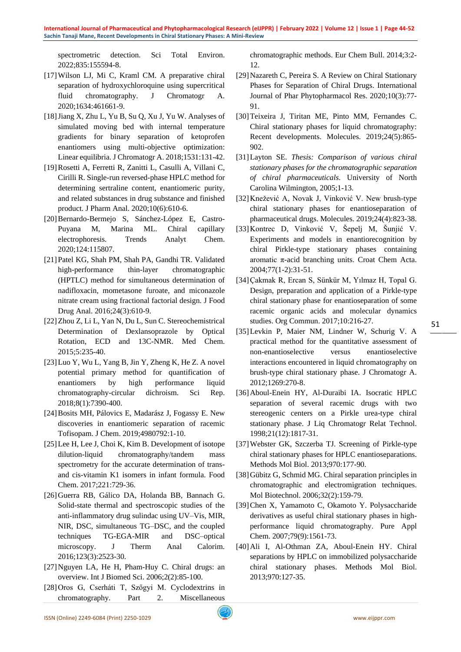spectrometric detection. Sci Total Environ. 2022;835:155594-8.

- [17]Wilson LJ, Mi C, Kraml CM. A preparative chiral separation of hydroxychloroquine using supercritical fluid chromatography. J Chromatogr A. 2020;1634:461661-9.
- [18]Jiang X, Zhu L, Yu B, Su Q, Xu J, Yu W. Analyses of simulated moving bed with internal temperature gradients for binary separation of ketoprofen enantiomers using multi-objective optimization: Linear equilibria. J Chromatogr A. 2018;1531:131-42.
- [19]Rosetti A, Ferretti R, Zanitti L, Casulli A, Villani C, Cirilli R. Single-run reversed-phase HPLC method for determining sertraline content, enantiomeric purity, and related substances in drug substance and finished product. J Pharm Anal. 2020;10(6):610-6.
- [20]Bernardo-Bermejo S, Sánchez-López E, Castro-Puyana M, Marina ML. Chiral capillary electrophoresis. Trends Analyt Chem. 2020;124:115807.
- [21]Patel KG, Shah PM, Shah PA, Gandhi TR. Validated high-performance thin-layer chromatographic (HPTLC) method for simultaneous determination of nadifloxacin, mometasone furoate, and miconazole nitrate cream using fractional factorial design. J Food Drug Anal. 2016;24(3):610-9.
- [22]Zhou Z, Li L, Yan N, Du L, Sun C. Stereochemistrical Determination of Dexlansoprazole by Optical Rotation, ECD and 13C-NMR. Med Chem. 2015;5:235-40.
- [23]Luo Y, Wu L, Yang B, Jin Y, Zheng K, He Z. A novel potential primary method for quantification of enantiomers by high performance liquid chromatography-circular dichroism. Sci Rep. 2018;8(1):7390-400.
- [24]Bosits MH, Pálovics E, Madarász J, Fogassy E. New discoveries in enantiomeric separation of racemic Tofisopam. J Chem. 2019;4980792:1-10.
- [25]Lee H, Lee J, Choi K, Kim B. Development of isotope dilution-liquid chromatography/tandem mass spectrometry for the accurate determination of transand cis-vitamin K1 isomers in infant formula. Food Chem. 2017;221:729-36.
- [26]Guerra RB, Gálico DA, Holanda BB, Bannach G. Solid-state thermal and spectroscopic studies of the anti-inflammatory drug sulindac using UV–Vis, MIR, NIR, DSC, simultaneous TG–DSC, and the coupled techniques TG-EGA-MIR and DSC–optical microscopy. J Therm Anal Calorim. 2016;123(3):2523-30.
- [27]Nguyen LA, He H, Pham-Huy C. Chiral drugs: an overview. Int J Biomed Sci. 2006;2(2):85-100.
- [28]Oros G, Cserháti T, Szőgyi M. Cyclodextrins in chromatography. Part 2. Miscellaneous

chromatographic methods. Eur Chem Bull. 2014;3:2- 12.

- [29]Nazareth C, Pereira S. A Review on Chiral Stationary Phases for Separation of Chiral Drugs. International Journal of Phar Phytopharmacol Res. 2020;10(3):77- 91.
- [30]Teixeira J, Tiritan ME, Pinto MM, Fernandes C. Chiral stationary phases for liquid chromatography: Recent developments. Molecules. 2019;24(5):865- 902.
- [31]Layton SE. *Thesis: Comparison of various chiral stationary phases for the chromatographic separation of chiral pharmaceuticals*. University of North Carolina Wilmington, 2005;1-13.
- [32]Knežević A, Novak J, Vinković V. New brush-type chiral stationary phases for enantioseparation of pharmaceutical drugs. Molecules. 2019;24(4):823-38.
- [33]Kontrec D, Vinković V, Šepelj M, Šunjić V. Experiments and models in enantiorecognition by chiral Pirkle-type stationary phases containing aromatic π-acid branching units. Croat Chem Acta. 2004;77(1-2):31-51.
- [34]Çakmak R, Ercan S, Sünkür M, Yılmaz H, Topal G. Design, preparation and application of a Pirkle-type chiral stationary phase for enantioseparation of some racemic organic acids and molecular dynamics studies. Org Commun. 2017;10:216-27.
- [35]Levkin P, Maier NM, Lindner W, Schurig V. A practical method for the quantitative assessment of non-enantioselective versus enantioselective interactions encountered in liquid chromatography on brush-type chiral stationary phase. J Chromatogr A. 2012;1269:270-8.
- [36]Aboul-Enein HY, Al-Duraibi IA. Isocratic HPLC separation of several racemic drugs with two stereogenic centers on a Pirkle urea-type chiral stationary phase. J Liq Chromatogr Relat Technol. 1998;21(12):1817-31.
- [37]Webster GK, Szczerba TJ. Screening of Pirkle-type chiral stationary phases for HPLC enantioseparations. Methods Mol Biol. 2013;970:177-90.
- [38]Gübitz G, Schmid MG. Chiral separation principles in chromatographic and electromigration techniques. Mol Biotechnol. 2006;32(2):159-79.
- [39]Chen X, Yamamoto C, Okamoto Y. Polysaccharide derivatives as useful chiral stationary phases in highperformance liquid chromatography. Pure Appl Chem. 2007;79(9):1561-73.
- [40]Ali I, Al-Othman ZA, Aboul-Enein HY. Chiral separations by HPLC on immobilized polysaccharide chiral stationary phases. Methods Mol Biol. 2013;970:127-35.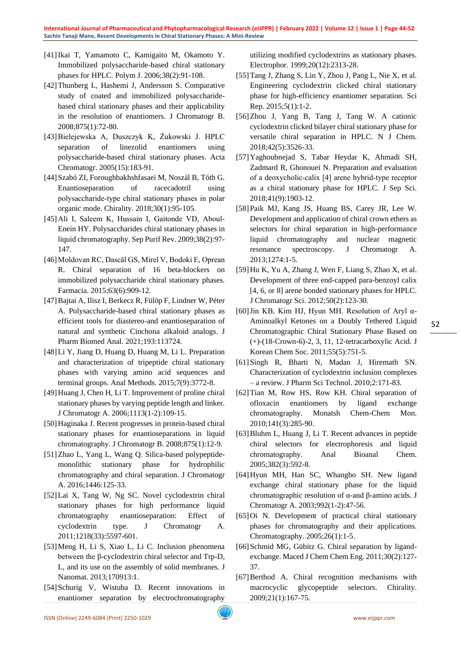- [41]Ikai T, Yamamoto C, Kamigaito M, Okamoto Y. Immobilized polysaccharide-based chiral stationary phases for HPLC. Polym J. 2006;38(2):91-108.
- [42]Thunberg L, Hashemi J, Andersson S. Comparative study of coated and immobilized polysaccharidebased chiral stationary phases and their applicability in the resolution of enantiomers. J Chromatogr B. 2008;875(1):72-80.
- [43]Bielejewska A, Duszczyk K, Żukowski J. HPLC separation of linezolid enantiomers using polysaccharide-based chiral stationary phases. Acta Chromatogr. 2005(15):183-91.
- [44]Szabó ZI, Foroughbakhshfasaei M, Noszál B, Tóth G. Enantioseparation of racecadotril using polysaccharide‐type chiral stationary phases in polar organic mode. Chirality. 2018;30(1):95-105.
- [45]Ali I, Saleem K, Hussain I, Gaitonde VD, Aboul‐ Enein HY. Polysaccharides chiral stationary phases in liquid chromatography. Sep Purif Rev. 2009;38(2):97- 147.
- [46]Moldovan RC, Dascăl GS, Mirel V, Bodoki E, Oprean R. Chiral separation of 16 beta-blockers on immobilized polysaccharide chiral stationary phases. Farmacia. 2015;63(6):909-12.
- [47]Bajtai A, Ilisz I, Berkecz R, Fülöp F, Lindner W, Péter A. Polysaccharide-based chiral stationary phases as efficient tools for diastereo-and enantioseparation of natural and synthetic Cinchona alkaloid analogs. J Pharm Biomed Anal. 2021;193:113724.
- [48]Li Y, Jiang D, Huang D, Huang M, Li L. Preparation and characterization of tripeptide chiral stationary phases with varying amino acid sequences and terminal groups. Anal Methods. 2015;7(9):3772-8.
- [49]Huang J, Chen H, Li T. Improvement of proline chiral stationary phases by varying peptide length and linker. J Chromatogr A. 2006;1113(1-2):109-15.
- [50]Haginaka J. Recent progresses in protein-based chiral stationary phases for enantioseparations in liquid chromatography. J Chromatogr B. 2008;875(1):12-9.
- [51]Zhao L, Yang L, Wang Q. Silica-based polypeptidemonolithic stationary phase for hydrophilic chromatography and chiral separation. J Chromatogr A. 2016;1446:125-33.
- [52]Lai X, Tang W, Ng SC. Novel cyclodextrin chiral stationary phases for high performance liquid chromatography enantioseparation: Effect of cyclodextrin type. J Chromatogr A. 2011;1218(33):5597-601.
- [53]Meng H, Li S, Xiao L, Li C. Inclusion phenomena between the β-cyclodextrin chiral selector and Trp-D, L, and its use on the assembly of solid membranes. J Nanomat. 2013;170913:1.
- [54] Schurig V, Wistuba D. Recent innovations in enantiomer separation by electrochromatography

utilizing modified cyclodextrins as stationary phases. Electrophor. 1999;20(12):2313-28.

- [55]Tang J, Zhang S, Lin Y, Zhou J, Pang L, Nie X, et al. Engineering cyclodextrin clicked chiral stationary phase for high-efficiency enantiomer separation. Sci Rep. 2015;5(1):1-2.
- [56]Zhou J, Yang B, Tang J, Tang W. A cationic cyclodextrin clicked bilayer chiral stationary phase for versatile chiral separation in HPLC. N J Chem. 2018;42(5):3526-33.
- [57]Yaghoubnejad S, Tabar Heydar K, Ahmadi SH, Zadmard R, Ghonouei N. Preparation and evaluation of a deoxycholic‐calix [4] arene hybrid‐type receptor as a chiral stationary phase for HPLC. J Sep Sci. 2018;41(9):1903-12.
- [58]Paik MJ, Kang JS, Huang BS, Carey JR, Lee W. Development and application of chiral crown ethers as selectors for chiral separation in high-performance liquid chromatography and nuclear magnetic resonance spectroscopy. J Chromatogr A. 2013;1274:1-5.
- [59]Hu K, Yu A, Zhang J, Wen F, Liang S, Zhao X, et al. Development of three end-capped para-benzoyl calix [4, 6, or 8] arene bonded stationary phases for HPLC. J Chromatogr Sci. 2012;50(2):123-30.
- [60]Jin KB, Kim HJ, Hyun MH. Resolution of Aryl α-Aminoalkyl Ketones on a Doubly Tethered Liquid Chromatographic Chiral Stationary Phase Based on (+)-(18-Crown-6)-2, 3, 11, 12-tetracarboxylic Acid. J Korean Chem Soc. 2011;55(5):751-5.
- [61]Singh R, Bharti N, Madan J, Hiremath SN. Characterization of cyclodextrin inclusion complexes – a review. J Pharm Sci Technol. 2010;2:171-83.
- [62]Tian M, Row HS, Row KH. Chiral separation of ofloxacin enantiomers by ligand exchange chromatography. Monatsh Chem-Chem Mon. 2010;141(3):285-90.
- [63]Bluhm L, Huang J, Li T. Recent advances in peptide chiral selectors for electrophoresis and liquid chromatography. Anal Bioanal Chem. 2005;382(3):592-8.
- [64]Hyun MH, Han SC, Whangbo SH. New ligand exchange chiral stationary phase for the liquid chromatographic resolution of α-and β-amino acids. J Chromatogr A. 2003;992(1-2):47-56.
- [65]Oi N. Development of practical chiral stationary phases for chromatography and their applications. Chromatography. 2005;26(1):1-5.
- [66] Schmid MG, Gübitz G. Chiral separation by ligandexchange. Maced J Chem Chem Eng. 2011;30(2):127- 37.
- [67]Berthod A. Chiral recognition mechanisms with macrocyclic glycopeptide selectors. Chirality. 2009;21(1):167-75.